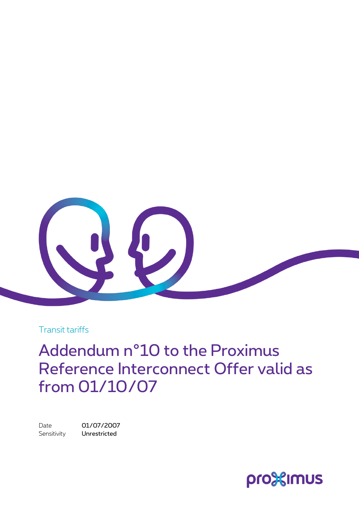

Transit tariffs

Addendum n°10 to the Proximus Reference Interconnect Offer valid as from 01/10/07

Date 01/07/2007 Sensitivity **Unrestricted** 

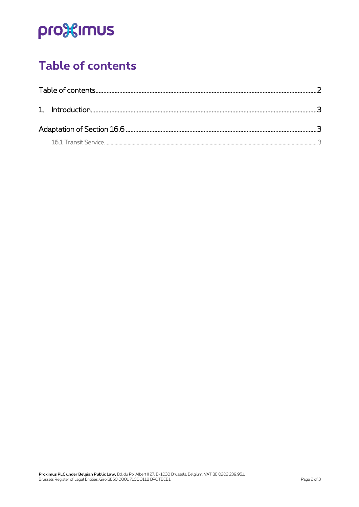# pro<sup>32</sup>imus

## <span id="page-1-0"></span>Table of contents